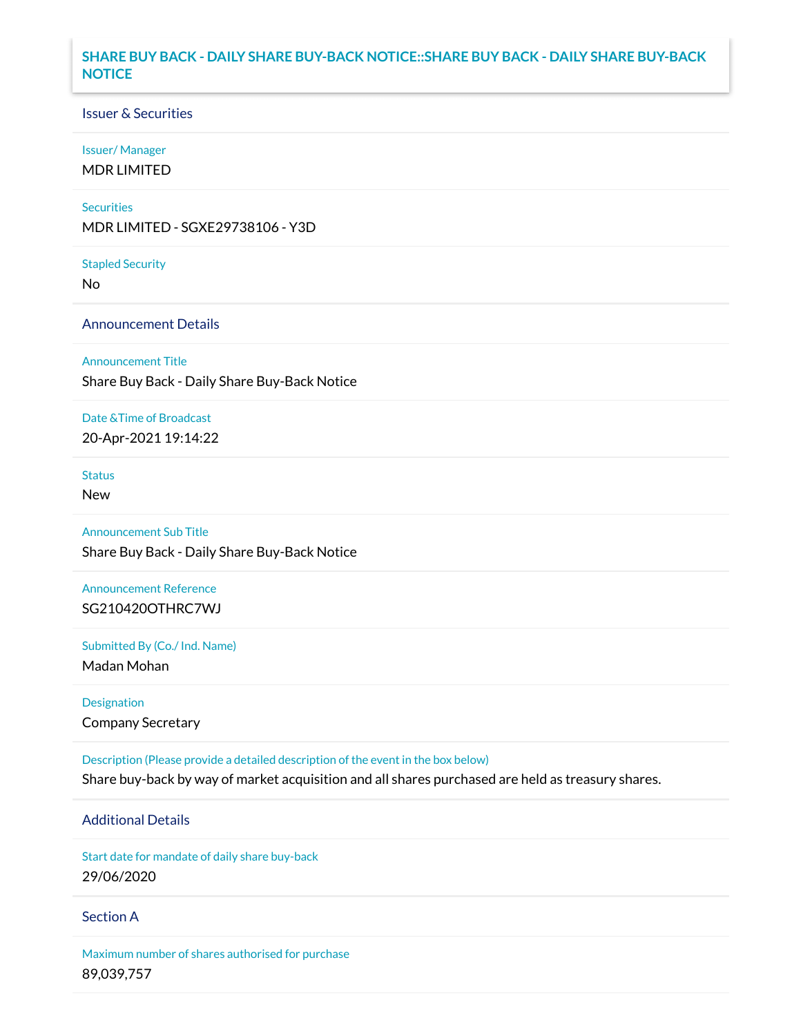# **SHARE BUY BACK - DAILY SHARE BUY-BACK NOTICE::SHARE BUY BACK - DAILY SHARE BUY-BACK NOTICE**

### Issuer & Securities

#### Issuer/ Manager

MDR LIMITED

#### **Securities**

MDR LIMITED - SGXE29738106 - Y3D

#### Stapled Security

No

### Announcement Details

Announcement Title

Share Buy Back - Daily Share Buy-Back Notice

### Date &Time of Broadcast

20-Apr-2021 19:14:22

# **Status**

New

# Announcement Sub Title

Share Buy Back - Daily Share Buy-Back Notice

## Announcement Reference SG210420OTHRC7WJ

Submitted By (Co./ Ind. Name)

Madan Mohan

Designation Company Secretary

Description (Please provide a detailed description of the event in the box below) Share buy-back by way of market acquisition and all shares purchased are held as treasury shares.

# Additional Details

Start date for mandate of daily share buy-back 29/06/2020

### Section A

Maximum number of shares authorised for purchase 89,039,757